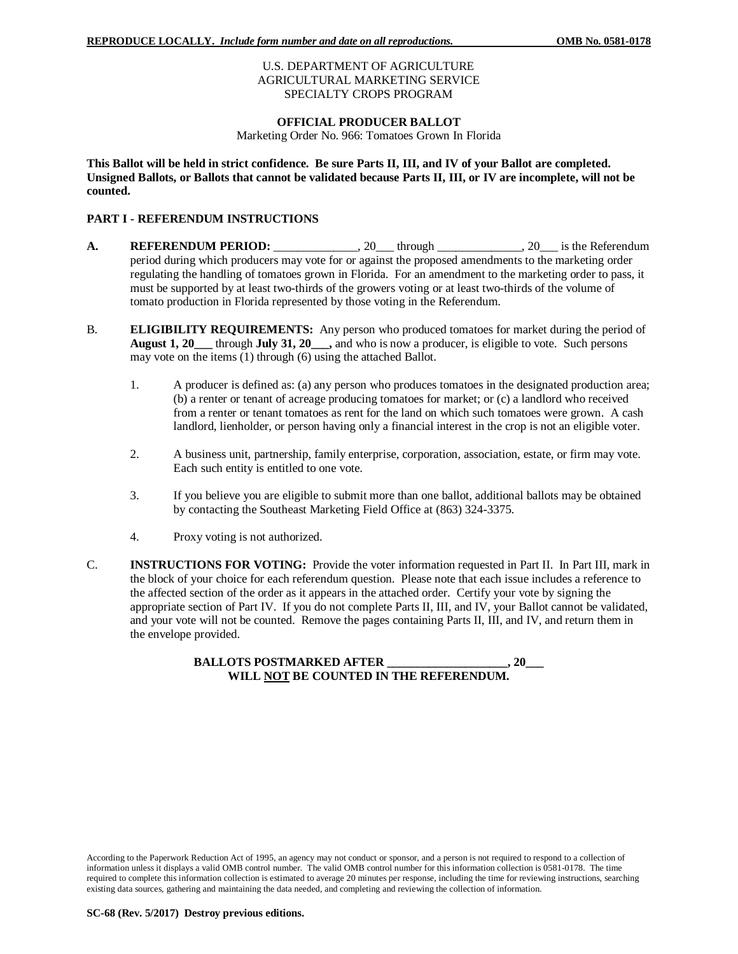## U.S. DEPARTMENT OF AGRICULTURE AGRICULTURAL MARKETING SERVICE SPECIALTY CROPS PROGRAM

## **OFFICIAL PRODUCER BALLOT**

Marketing Order No. 966: Tomatoes Grown In Florida

**This Ballot will be held in strict confidence. Be sure Parts II, III, and IV of your Ballot are completed. Unsigned Ballots, or Ballots that cannot be validated because Parts II, III, or IV are incomplete, will not be counted.**

# **PART I - REFERENDUM INSTRUCTIONS**

- **A. REFERENDUM PERIOD:** \_\_\_\_\_\_\_\_\_\_\_\_\_, 20\_\_\_ through \_\_\_\_\_\_\_\_\_\_\_\_, 20\_\_\_ is the Referendum period during which producers may vote for or against the proposed amendments to the marketing order regulating the handling of tomatoes grown in Florida. For an amendment to the marketing order to pass, it must be supported by at least two-thirds of the growers voting or at least two-thirds of the volume of tomato production in Florida represented by those voting in the Referendum.
- B. **ELIGIBILITY REQUIREMENTS:** Any person who produced tomatoes for market during the period of **August 1, 20\_\_\_** through **July 31, 20\_\_\_,** and who is now a producer, is eligible to vote. Such persons may vote on the items (1) through (6) using the attached Ballot.
	- 1. A producer is defined as: (a) any person who produces tomatoes in the designated production area; (b) a renter or tenant of acreage producing tomatoes for market; or (c) a landlord who received from a renter or tenant tomatoes as rent for the land on which such tomatoes were grown. A cash landlord, lienholder, or person having only a financial interest in the crop is not an eligible voter.
	- 2. A business unit, partnership, family enterprise, corporation, association, estate, or firm may vote. Each such entity is entitled to one vote.
	- 3. If you believe you are eligible to submit more than one ballot, additional ballots may be obtained by contacting the Southeast Marketing Field Office at (863) 324-3375.
	- 4. Proxy voting is not authorized.
- C. **INSTRUCTIONS FOR VOTING:** Provide the voter information requested in Part II. In Part III, mark in the block of your choice for each referendum question. Please note that each issue includes a reference to the affected section of the order as it appears in the attached order. Certify your vote by signing the appropriate section of Part IV. If you do not complete Parts II, III, and IV, your Ballot cannot be validated, and your vote will not be counted. Remove the pages containing Parts II, III, and IV, and return them in the envelope provided.

**BALLOTS POSTMARKED AFTER \_\_\_\_\_\_\_\_\_\_\_\_\_\_\_\_\_\_\_\_, 20\_\_\_ WILL NOT BE COUNTED IN THE REFERENDUM.**

According to the Paperwork Reduction Act of 1995, an agency may not conduct or sponsor, and a person is not required to respond to a collection of information unless it displays a valid OMB control number. The valid OMB control number for this information collection is 0581-0178. The time required to complete this information collection is estimated to average 20 minutes per response, including the time for reviewing instructions, searching existing data sources, gathering and maintaining the data needed, and completing and reviewing the collection of information.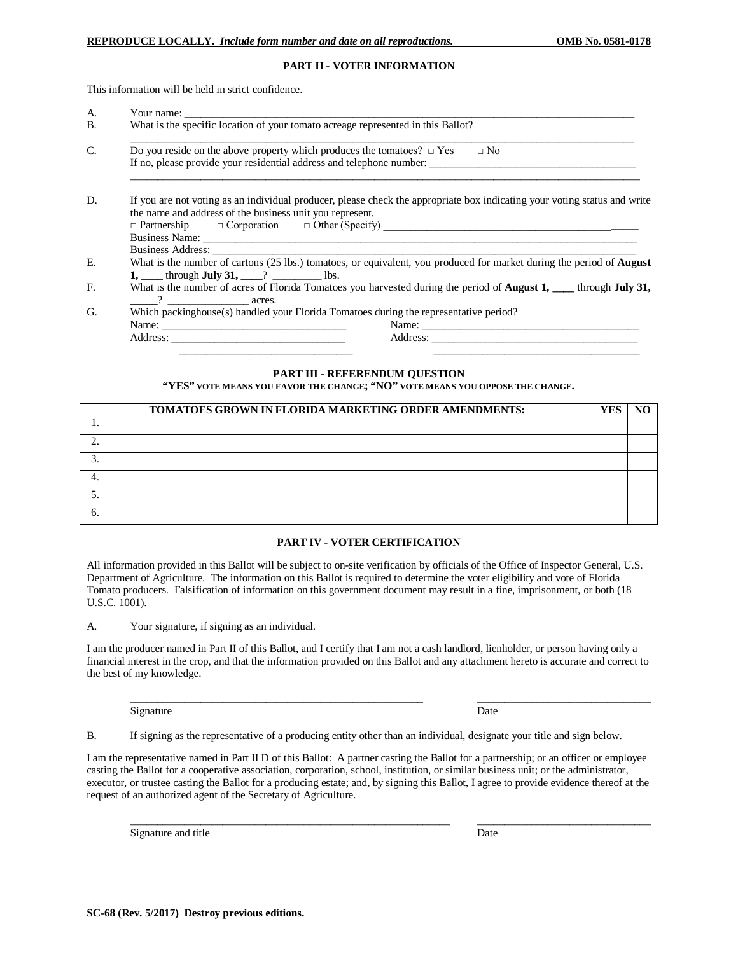#### **PART II - VOTER INFORMATION**

This information will be held in strict confidence.

|  | Your name:                                                                                                                                                                            |  |  |  |
|--|---------------------------------------------------------------------------------------------------------------------------------------------------------------------------------------|--|--|--|
|  | What is the specific location of your tomato acreage represented in this Ballot?                                                                                                      |  |  |  |
|  | Do you reside on the above property which produces the tomatoes? $\Box$ Yes<br>$\Box$ No                                                                                              |  |  |  |
|  | If no, please provide your residential address and telephone number:                                                                                                                  |  |  |  |
|  | If you are not voting as an individual producer, please check the appropriate box indicating your voting status and write<br>the name and address of the business unit you represent. |  |  |  |
|  |                                                                                                                                                                                       |  |  |  |
|  |                                                                                                                                                                                       |  |  |  |
|  | What is the number of cartons (25 lbs.) tomatoes, or equivalent, you produced for market during the period of <b>August</b>                                                           |  |  |  |
|  | 1, through <b>July 31</b> , $\qquad$ ? Ibs.                                                                                                                                           |  |  |  |
|  | What is the number of acres of Florida Tomatoes you harvested during the period of <b>August 1, ___</b> through <b>July 31,</b>                                                       |  |  |  |
|  | acres.                                                                                                                                                                                |  |  |  |
|  | Which packinghouse(s) handled your Florida Tomatoes during the representative period?                                                                                                 |  |  |  |
|  |                                                                                                                                                                                       |  |  |  |
|  |                                                                                                                                                                                       |  |  |  |

#### **PART III - REFERENDUM QUESTION**

**"YES" VOTE MEANS YOU FAVOR THE CHANGE; "NO" VOTE MEANS YOU OPPOSE THE CHANGE.**

| TOMATOES GROWN IN FLORIDA MARKETING ORDER AMENDMENTS: | YES |  |
|-------------------------------------------------------|-----|--|
|                                                       |     |  |
|                                                       |     |  |
|                                                       |     |  |
|                                                       |     |  |
|                                                       |     |  |
|                                                       |     |  |

### **PART IV - VOTER CERTIFICATION**

All information provided in this Ballot will be subject to on-site verification by officials of the Office of Inspector General, U.S. Department of Agriculture. The information on this Ballot is required to determine the voter eligibility and vote of Florida Tomato producers. Falsification of information on this government document may result in a fine, imprisonment, or both (18 U.S.C. 1001).

A. Your signature, if signing as an individual.

I am the producer named in Part II of this Ballot, and I certify that I am not a cash landlord, lienholder, or person having only a financial interest in the crop, and that the information provided on this Ballot and any attachment hereto is accurate and correct to the best of my knowledge.

\_\_\_\_\_\_\_\_\_\_\_\_\_\_\_\_\_\_\_\_\_\_\_\_\_\_\_\_\_\_\_\_\_\_\_\_\_\_\_\_\_\_\_\_\_\_\_\_\_\_\_\_\_\_ \_\_\_\_\_\_\_\_\_\_\_\_\_\_\_\_\_\_\_\_\_\_\_\_\_\_\_\_\_\_\_\_

 $\_$  , and the set of the set of the set of the set of the set of the set of the set of the set of the set of the set of the set of the set of the set of the set of the set of the set of the set of the set of the set of th

Signature Date

B. If signing as the representative of a producing entity other than an individual, designate your title and sign below.

I am the representative named in Part II D of this Ballot: A partner casting the Ballot for a partnership; or an officer or employee casting the Ballot for a cooperative association, corporation, school, institution, or similar business unit; or the administrator, executor, or trustee casting the Ballot for a producing estate; and, by signing this Ballot, I agree to provide evidence thereof at the request of an authorized agent of the Secretary of Agriculture.

Signature and title Date